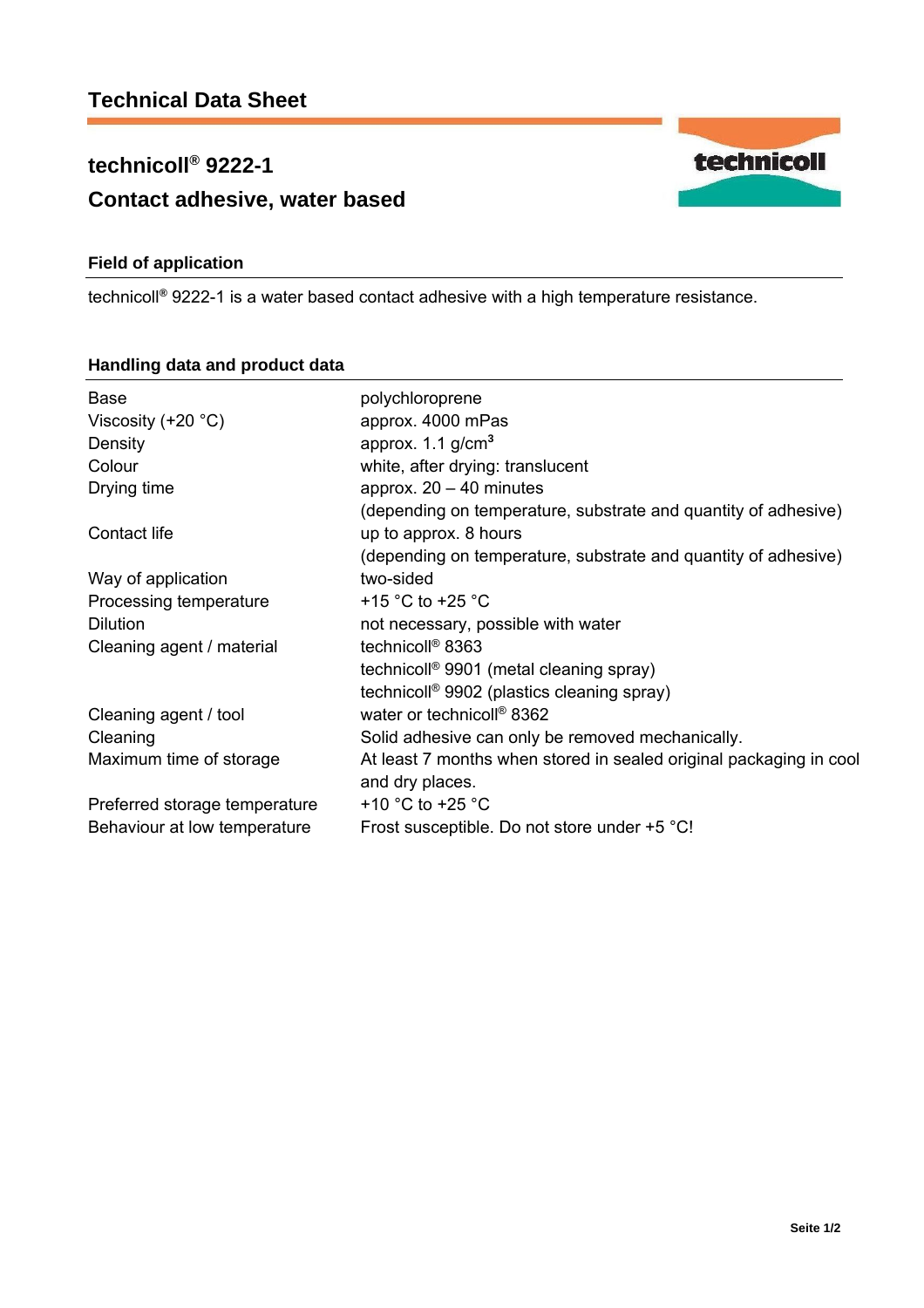# **technicoll® 9222-1 Contact adhesive, water based**

## **Field of application**

technicoll**®** 9222-1 is a water based contact adhesive with a high temperature resistance.

| Base                          | polychloroprene                                                    |  |
|-------------------------------|--------------------------------------------------------------------|--|
| Viscosity $(+20 °C)$          | approx. 4000 mPas                                                  |  |
| Density                       | approx. $1.1$ g/cm <sup>3</sup>                                    |  |
| Colour                        | white, after drying: translucent                                   |  |
| Drying time                   | approx. $20 - 40$ minutes                                          |  |
|                               | (depending on temperature, substrate and quantity of adhesive)     |  |
| Contact life                  | up to approx. 8 hours                                              |  |
|                               | (depending on temperature, substrate and quantity of adhesive)     |  |
| Way of application            | two-sided                                                          |  |
| Processing temperature        | +15 $\degree$ C to +25 $\degree$ C                                 |  |
| <b>Dilution</b>               | not necessary, possible with water                                 |  |
| Cleaning agent / material     | technicoll <sup>®</sup> 8363                                       |  |
|                               | technicoll <sup>®</sup> 9901 (metal cleaning spray)                |  |
|                               | technicoll <sup>®</sup> 9902 (plastics cleaning spray)             |  |
| Cleaning agent / tool         | water or technicoll <sup>®</sup> 8362                              |  |
| Cleaning                      | Solid adhesive can only be removed mechanically.                   |  |
| Maximum time of storage       | At least 7 months when stored in sealed original packaging in cool |  |
|                               | and dry places.                                                    |  |
| Preferred storage temperature | +10 $^{\circ}$ C to +25 $^{\circ}$ C                               |  |
| Behaviour at low temperature  | Frost susceptible. Do not store under +5 °C!                       |  |
|                               |                                                                    |  |

### **Handling data and product data**